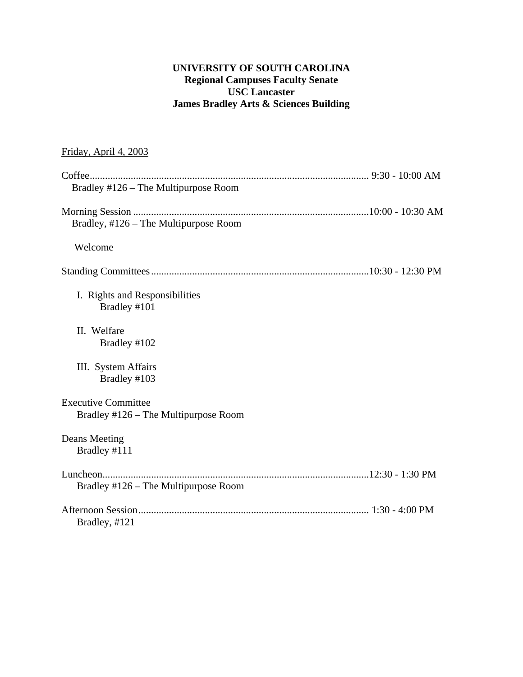# **UNIVERSITY OF SOUTH CAROLINA Regional Campuses Faculty Senate USC Lancaster James Bradley Arts & Sciences Building**

# Friday, April 4, 2003

| Bradley #126 – The Multipurpose Room                               |  |
|--------------------------------------------------------------------|--|
|                                                                    |  |
| Bradley, #126 - The Multipurpose Room                              |  |
| Welcome                                                            |  |
|                                                                    |  |
| I. Rights and Responsibilities<br>Bradley #101                     |  |
| II. Welfare<br>Bradley #102                                        |  |
| III. System Affairs<br>Bradley #103                                |  |
| <b>Executive Committee</b><br>Bradley #126 – The Multipurpose Room |  |
| <b>Deans Meeting</b><br>Bradley #111                               |  |
|                                                                    |  |
| Bradley #126 – The Multipurpose Room                               |  |
| Bradley, #121                                                      |  |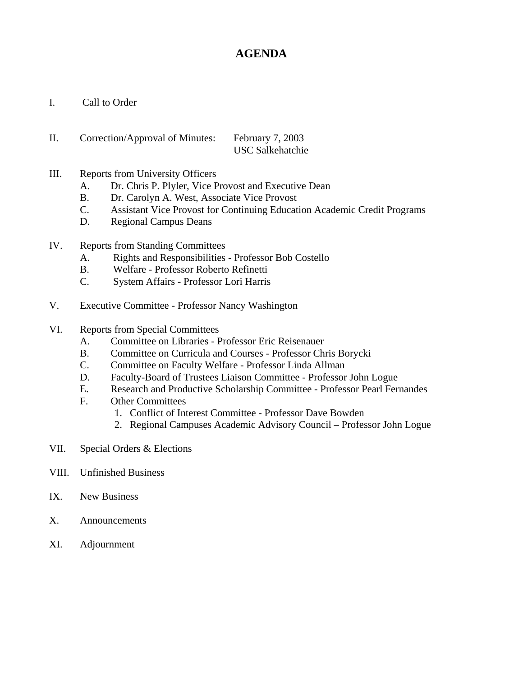# **AGENDA**

- I. Call to Order
- II. Correction/Approval of Minutes: February 7, 2003 USC Salkehatchie
- III. Reports from University Officers
	- A. Dr. Chris P. Plyler, Vice Provost and Executive Dean
	- B. Dr. Carolyn A. West, Associate Vice Provost
	- C. Assistant Vice Provost for Continuing Education Academic Credit Programs
	- D. Regional Campus Deans
- IV. Reports from Standing Committees
	- A. Rights and Responsibilities Professor Bob Costello
	- B. Welfare Professor Roberto Refinetti
	- C. System Affairs Professor Lori Harris
- V. Executive Committee Professor Nancy Washington
- VI. Reports from Special Committees
	- A. Committee on Libraries Professor Eric Reisenauer
	- B. Committee on Curricula and Courses Professor Chris Borycki
	- C. Committee on Faculty Welfare Professor Linda Allman
	- D. Faculty-Board of Trustees Liaison Committee Professor John Logue
	- E. Research and Productive Scholarship Committee Professor Pearl Fernandes
	- F. Other Committees
		- 1. Conflict of Interest Committee Professor Dave Bowden
		- 2. Regional Campuses Academic Advisory Council Professor John Logue
- VII. Special Orders & Elections
- VIII. Unfinished Business
- IX. New Business
- X. Announcements
- XI. Adjournment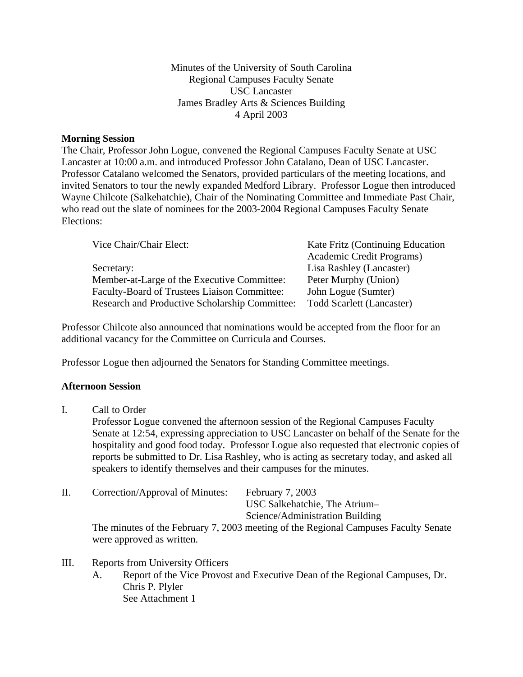Minutes of the University of South Carolina Regional Campuses Faculty Senate USC Lancaster James Bradley Arts & Sciences Building 4 April 2003

### **Morning Session**

The Chair, Professor John Logue, convened the Regional Campuses Faculty Senate at USC Lancaster at 10:00 a.m. and introduced Professor John Catalano, Dean of USC Lancaster. Professor Catalano welcomed the Senators, provided particulars of the meeting locations, and invited Senators to tour the newly expanded Medford Library. Professor Logue then introduced Wayne Chilcote (Salkehatchie), Chair of the Nominating Committee and Immediate Past Chair, who read out the slate of nominees for the 2003-2004 Regional Campuses Faculty Senate Elections:

| Vice Chair/Chair Elect:                        | Kate Fritz (Continuing Education |  |
|------------------------------------------------|----------------------------------|--|
|                                                | Academic Credit Programs)        |  |
| Secretary:                                     | Lisa Rashley (Lancaster)         |  |
| Member-at-Large of the Executive Committee:    | Peter Murphy (Union)             |  |
| Faculty-Board of Trustees Liaison Committee:   | John Logue (Sumter)              |  |
| Research and Productive Scholarship Committee: | <b>Todd Scarlett (Lancaster)</b> |  |

Professor Chilcote also announced that nominations would be accepted from the floor for an additional vacancy for the Committee on Curricula and Courses.

Professor Logue then adjourned the Senators for Standing Committee meetings.

### **Afternoon Session**

I. Call to Order

Professor Logue convened the afternoon session of the Regional Campuses Faculty Senate at 12:54, expressing appreciation to USC Lancaster on behalf of the Senate for the hospitality and good food today. Professor Logue also requested that electronic copies of reports be submitted to Dr. Lisa Rashley, who is acting as secretary today, and asked all speakers to identify themselves and their campuses for the minutes.

II. Correction/Approval of Minutes: February 7, 2003

USC Salkehatchie, The Atrium–

Science/Administration Building

The minutes of the February 7, 2003 meeting of the Regional Campuses Faculty Senate were approved as written.

# III. Reports from University Officers

A. Report of the Vice Provost and Executive Dean of the Regional Campuses, Dr. Chris P. Plyler See Attachment 1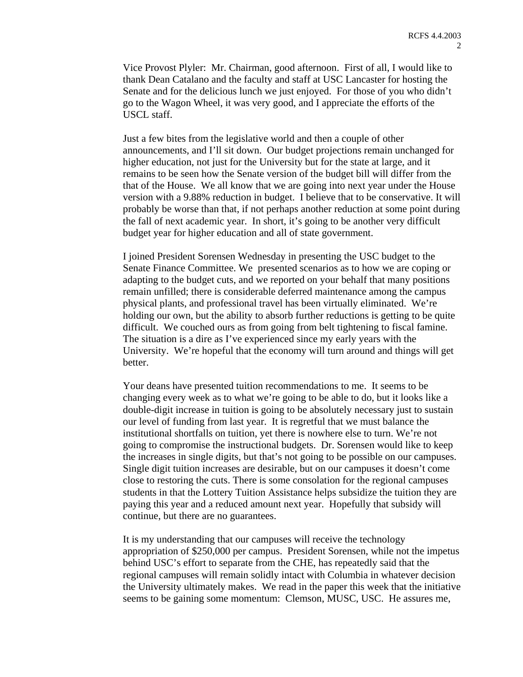Vice Provost Plyler: Mr. Chairman, good afternoon. First of all, I would like to thank Dean Catalano and the faculty and staff at USC Lancaster for hosting the Senate and for the delicious lunch we just enjoyed. For those of you who didn't go to the Wagon Wheel, it was very good, and I appreciate the efforts of the USCL staff.

Just a few bites from the legislative world and then a couple of other announcements, and I'll sit down. Our budget projections remain unchanged for higher education, not just for the University but for the state at large, and it remains to be seen how the Senate version of the budget bill will differ from the that of the House. We all know that we are going into next year under the House version with a 9.88% reduction in budget. I believe that to be conservative. It will probably be worse than that, if not perhaps another reduction at some point during the fall of next academic year. In short, it's going to be another very difficult budget year for higher education and all of state government.

I joined President Sorensen Wednesday in presenting the USC budget to the Senate Finance Committee. We presented scenarios as to how we are coping or adapting to the budget cuts, and we reported on your behalf that many positions remain unfilled; there is considerable deferred maintenance among the campus physical plants, and professional travel has been virtually eliminated. We're holding our own, but the ability to absorb further reductions is getting to be quite difficult. We couched ours as from going from belt tightening to fiscal famine. The situation is a dire as I've experienced since my early years with the University. We're hopeful that the economy will turn around and things will get better.

Your deans have presented tuition recommendations to me. It seems to be changing every week as to what we're going to be able to do, but it looks like a double-digit increase in tuition is going to be absolutely necessary just to sustain our level of funding from last year. It is regretful that we must balance the institutional shortfalls on tuition, yet there is nowhere else to turn. We're not going to compromise the instructional budgets. Dr. Sorensen would like to keep the increases in single digits, but that's not going to be possible on our campuses. Single digit tuition increases are desirable, but on our campuses it doesn't come close to restoring the cuts. There is some consolation for the regional campuses students in that the Lottery Tuition Assistance helps subsidize the tuition they are paying this year and a reduced amount next year. Hopefully that subsidy will continue, but there are no guarantees.

It is my understanding that our campuses will receive the technology appropriation of \$250,000 per campus. President Sorensen, while not the impetus behind USC's effort to separate from the CHE, has repeatedly said that the regional campuses will remain solidly intact with Columbia in whatever decision the University ultimately makes. We read in the paper this week that the initiative seems to be gaining some momentum: Clemson, MUSC, USC. He assures me,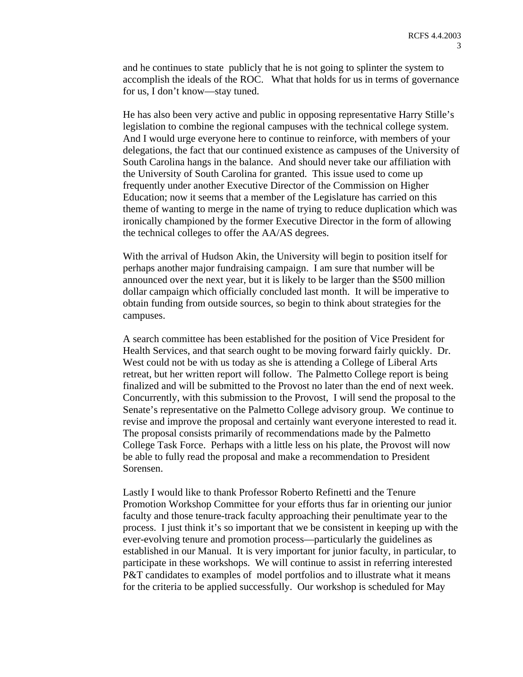and he continues to state publicly that he is not going to splinter the system to accomplish the ideals of the ROC. What that holds for us in terms of governance for us, I don't know—stay tuned.

He has also been very active and public in opposing representative Harry Stille's legislation to combine the regional campuses with the technical college system. And I would urge everyone here to continue to reinforce, with members of your delegations, the fact that our continued existence as campuses of the University of South Carolina hangs in the balance. And should never take our affiliation with the University of South Carolina for granted. This issue used to come up frequently under another Executive Director of the Commission on Higher Education; now it seems that a member of the Legislature has carried on this theme of wanting to merge in the name of trying to reduce duplication which was ironically championed by the former Executive Director in the form of allowing the technical colleges to offer the AA/AS degrees.

With the arrival of Hudson Akin, the University will begin to position itself for perhaps another major fundraising campaign. I am sure that number will be announced over the next year, but it is likely to be larger than the \$500 million dollar campaign which officially concluded last month. It will be imperative to obtain funding from outside sources, so begin to think about strategies for the campuses.

A search committee has been established for the position of Vice President for Health Services, and that search ought to be moving forward fairly quickly. Dr. West could not be with us today as she is attending a College of Liberal Arts retreat, but her written report will follow. The Palmetto College report is being finalized and will be submitted to the Provost no later than the end of next week. Concurrently, with this submission to the Provost, I will send the proposal to the Senate's representative on the Palmetto College advisory group. We continue to revise and improve the proposal and certainly want everyone interested to read it. The proposal consists primarily of recommendations made by the Palmetto College Task Force. Perhaps with a little less on his plate, the Provost will now be able to fully read the proposal and make a recommendation to President Sorensen.

Lastly I would like to thank Professor Roberto Refinetti and the Tenure Promotion Workshop Committee for your efforts thus far in orienting our junior faculty and those tenure-track faculty approaching their penultimate year to the process. I just think it's so important that we be consistent in keeping up with the ever-evolving tenure and promotion process—particularly the guidelines as established in our Manual. It is very important for junior faculty, in particular, to participate in these workshops. We will continue to assist in referring interested P&T candidates to examples of model portfolios and to illustrate what it means for the criteria to be applied successfully. Our workshop is scheduled for May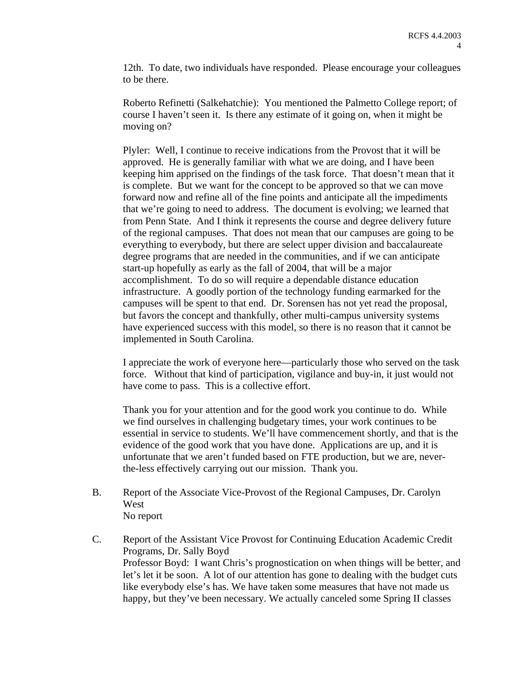12th. To date, two individuals have responded. Please encourage your colleagues to be there.

Roberto Refinetti (Salkehatchie): You mentioned the Palmetto College report; of course I haven't seen it. Is there any estimate of it going on, when it might be moving on?

Plyler: Well, I continue to receive indications from the Provost that it will be approved. He is generally familiar with what we are doing, and I have been keeping him apprised on the findings of the task force. That doesn't mean that it is complete. But we want for the concept to be approved so that we can move forward now and refine all of the fine points and anticipate all the impediments that we're going to need to address. The document is evolving; we learned that from Penn State. And I think it represents the course and degree delivery future of the regional campuses. That does not mean that our campuses are going to be everything to everybody, but there are select upper division and baccalaureate degree programs that are needed in the communities, and if we can anticipate start-up hopefully as early as the fall of 2004, that will be a major accomplishment. To do so will require a dependable distance education infrastructure. A goodly portion of the technology funding earmarked for the campuses will be spent to that end. Dr. Sorensen has not yet read the proposal, but favors the concept and thankfully, other multi-campus university systems have experienced success with this model, so there is no reason that it cannot be implemented in South Carolina.

I appreciate the work of everyone here—particularly those who served on the task force. Without that kind of participation, vigilance and buy-in, it just would not have come to pass. This is a collective effort.

Thank you for your attention and for the good work you continue to do. While we find ourselves in challenging budgetary times, your work continues to be essential in service to students. We'll have commencement shortly, and that is the evidence of the good work that you have done. Applications are up, and it is unfortunate that we aren't funded based on FTE production, but we are, neverthe-less effectively carrying out our mission. Thank you.

- B. Report of the Associate Vice-Provost of the Regional Campuses, Dr. Carolyn **West** No report
- C. Report of the Assistant Vice Provost for Continuing Education Academic Credit Programs, Dr. Sally Boyd Professor Boyd: I want Chris's prognostication on when things will be better, and let's let it be soon. A lot of our attention has gone to dealing with the budget cuts like everybody else's has. We have taken some measures that have not made us happy, but they've been necessary. We actually canceled some Spring II classes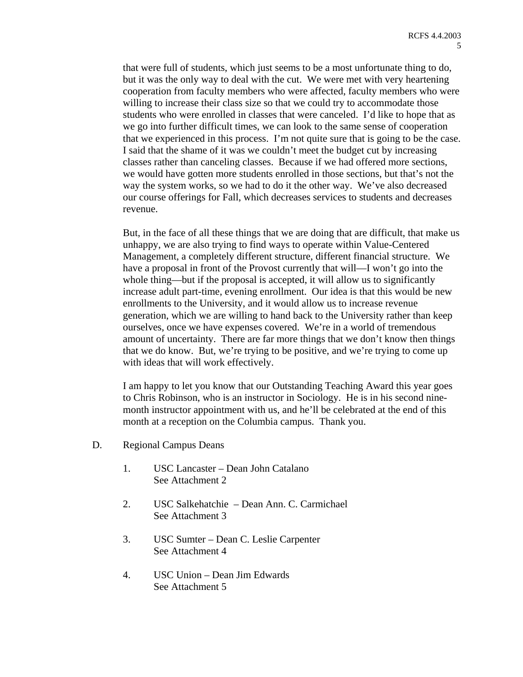that were full of students, which just seems to be a most unfortunate thing to do, but it was the only way to deal with the cut. We were met with very heartening cooperation from faculty members who were affected, faculty members who were willing to increase their class size so that we could try to accommodate those students who were enrolled in classes that were canceled. I'd like to hope that as we go into further difficult times, we can look to the same sense of cooperation that we experienced in this process. I'm not quite sure that is going to be the case. I said that the shame of it was we couldn't meet the budget cut by increasing classes rather than canceling classes. Because if we had offered more sections, we would have gotten more students enrolled in those sections, but that's not the way the system works, so we had to do it the other way. We've also decreased our course offerings for Fall, which decreases services to students and decreases revenue.

But, in the face of all these things that we are doing that are difficult, that make us unhappy, we are also trying to find ways to operate within Value-Centered Management, a completely different structure, different financial structure. We have a proposal in front of the Provost currently that will—I won't go into the whole thing—but if the proposal is accepted, it will allow us to significantly increase adult part-time, evening enrollment. Our idea is that this would be new enrollments to the University, and it would allow us to increase revenue generation, which we are willing to hand back to the University rather than keep ourselves, once we have expenses covered. We're in a world of tremendous amount of uncertainty. There are far more things that we don't know then things that we do know. But, we're trying to be positive, and we're trying to come up with ideas that will work effectively.

I am happy to let you know that our Outstanding Teaching Award this year goes to Chris Robinson, who is an instructor in Sociology. He is in his second ninemonth instructor appointment with us, and he'll be celebrated at the end of this month at a reception on the Columbia campus. Thank you.

- D. Regional Campus Deans
	- 1. USC Lancaster Dean John Catalano See Attachment 2
	- 2. USC Salkehatchie Dean Ann. C. Carmichael See Attachment 3
	- 3. USC Sumter Dean C. Leslie Carpenter See Attachment 4
	- 4. USC Union Dean Jim Edwards See Attachment 5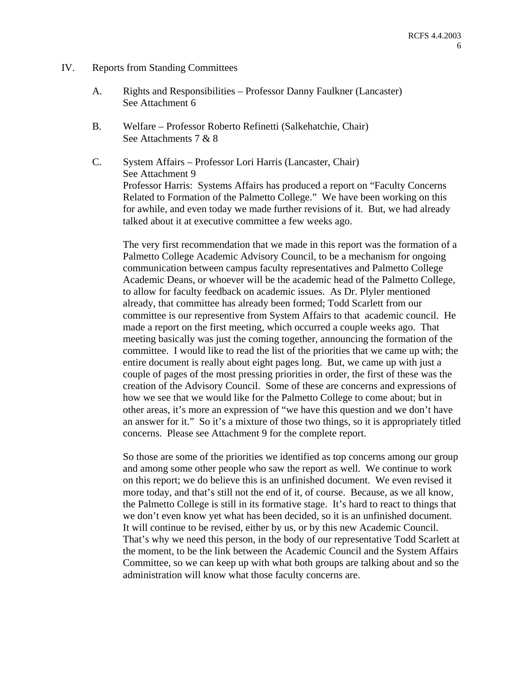- IV. Reports from Standing Committees
	- A. Rights and Responsibilities Professor Danny Faulkner (Lancaster) See Attachment 6
	- B. Welfare Professor Roberto Refinetti (Salkehatchie, Chair) See Attachments 7 & 8
	- C. System Affairs Professor Lori Harris (Lancaster, Chair) See Attachment 9 Professor Harris: Systems Affairs has produced a report on "Faculty Concerns Related to Formation of the Palmetto College." We have been working on this for awhile, and even today we made further revisions of it. But, we had already talked about it at executive committee a few weeks ago.

The very first recommendation that we made in this report was the formation of a Palmetto College Academic Advisory Council, to be a mechanism for ongoing communication between campus faculty representatives and Palmetto College Academic Deans, or whoever will be the academic head of the Palmetto College, to allow for faculty feedback on academic issues. As Dr. Plyler mentioned already, that committee has already been formed; Todd Scarlett from our committee is our representive from System Affairs to that academic council. He made a report on the first meeting, which occurred a couple weeks ago. That meeting basically was just the coming together, announcing the formation of the committee. I would like to read the list of the priorities that we came up with; the entire document is really about eight pages long. But, we came up with just a couple of pages of the most pressing priorities in order, the first of these was the creation of the Advisory Council. Some of these are concerns and expressions of how we see that we would like for the Palmetto College to come about; but in other areas, it's more an expression of "we have this question and we don't have an answer for it." So it's a mixture of those two things, so it is appropriately titled concerns. Please see Attachment 9 for the complete report.

So those are some of the priorities we identified as top concerns among our group and among some other people who saw the report as well. We continue to work on this report; we do believe this is an unfinished document. We even revised it more today, and that's still not the end of it, of course. Because, as we all know, the Palmetto College is still in its formative stage. It's hard to react to things that we don't even know yet what has been decided, so it is an unfinished document. It will continue to be revised, either by us, or by this new Academic Council. That's why we need this person, in the body of our representative Todd Scarlett at the moment, to be the link between the Academic Council and the System Affairs Committee, so we can keep up with what both groups are talking about and so the administration will know what those faculty concerns are.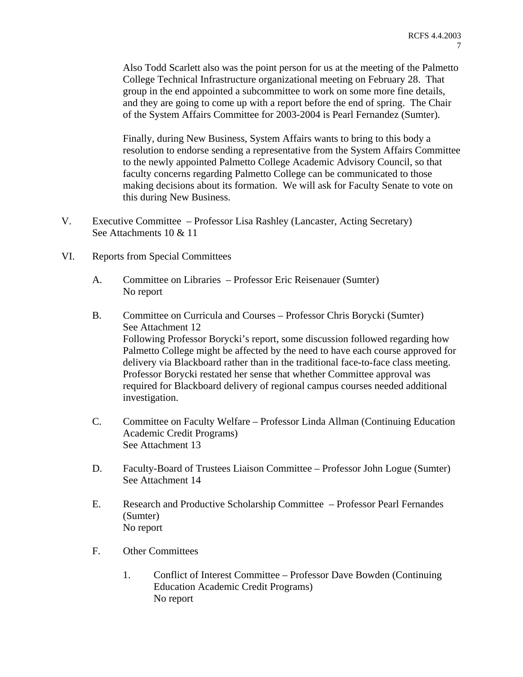Also Todd Scarlett also was the point person for us at the meeting of the Palmetto College Technical Infrastructure organizational meeting on February 28. That group in the end appointed a subcommittee to work on some more fine details, and they are going to come up with a report before the end of spring. The Chair of the System Affairs Committee for 2003-2004 is Pearl Fernandez (Sumter).

Finally, during New Business, System Affairs wants to bring to this body a resolution to endorse sending a representative from the System Affairs Committee to the newly appointed Palmetto College Academic Advisory Council, so that faculty concerns regarding Palmetto College can be communicated to those making decisions about its formation. We will ask for Faculty Senate to vote on this during New Business.

- V. Executive Committee Professor Lisa Rashley (Lancaster, Acting Secretary) See Attachments 10 & 11
- VI. Reports from Special Committees
	- A. Committee on Libraries Professor Eric Reisenauer (Sumter) No report
	- B. Committee on Curricula and Courses Professor Chris Borycki (Sumter) See Attachment 12 Following Professor Borycki's report, some discussion followed regarding how Palmetto College might be affected by the need to have each course approved for delivery via Blackboard rather than in the traditional face-to-face class meeting. Professor Borycki restated her sense that whether Committee approval was required for Blackboard delivery of regional campus courses needed additional investigation.
	- C. Committee on Faculty Welfare Professor Linda Allman (Continuing Education Academic Credit Programs) See Attachment 13
	- D. Faculty-Board of Trustees Liaison Committee Professor John Logue (Sumter) See Attachment 14
	- E. Research and Productive Scholarship Committee Professor Pearl Fernandes (Sumter) No report
	- F. Other Committees
		- 1. Conflict of Interest Committee Professor Dave Bowden (Continuing Education Academic Credit Programs) No report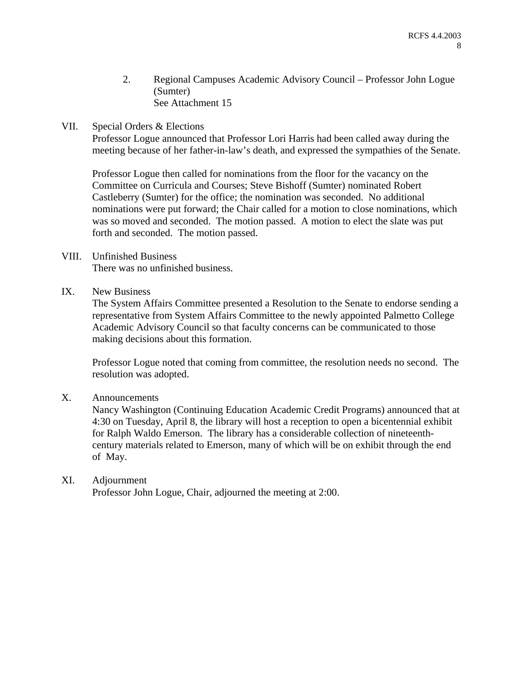- 2. Regional Campuses Academic Advisory Council Professor John Logue (Sumter) See Attachment 15
- VII. Special Orders & Elections

Professor Logue announced that Professor Lori Harris had been called away during the meeting because of her father-in-law's death, and expressed the sympathies of the Senate.

Professor Logue then called for nominations from the floor for the vacancy on the Committee on Curricula and Courses; Steve Bishoff (Sumter) nominated Robert Castleberry (Sumter) for the office; the nomination was seconded. No additional nominations were put forward; the Chair called for a motion to close nominations, which was so moved and seconded. The motion passed. A motion to elect the slate was put forth and seconded. The motion passed.

# VIII. Unfinished Business

There was no unfinished business.

IX. New Business

The System Affairs Committee presented a Resolution to the Senate to endorse sending a representative from System Affairs Committee to the newly appointed Palmetto College Academic Advisory Council so that faculty concerns can be communicated to those making decisions about this formation.

Professor Logue noted that coming from committee, the resolution needs no second. The resolution was adopted.

X. Announcements

Nancy Washington (Continuing Education Academic Credit Programs) announced that at 4:30 on Tuesday, April 8, the library will host a reception to open a bicentennial exhibit for Ralph Waldo Emerson. The library has a considerable collection of nineteenthcentury materials related to Emerson, many of which will be on exhibit through the end of May.

# XI. Adjournment

Professor John Logue, Chair, adjourned the meeting at 2:00.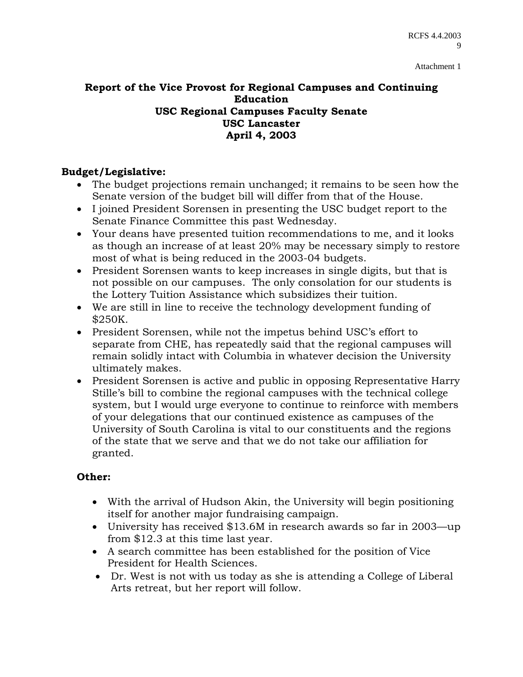# **Report of the Vice Provost for Regional Campuses and Continuing Education USC Regional Campuses Faculty Senate USC Lancaster April 4, 2003**

# **Budget/Legislative:**

- The budget projections remain unchanged; it remains to be seen how the Senate version of the budget bill will differ from that of the House.
- I joined President Sorensen in presenting the USC budget report to the Senate Finance Committee this past Wednesday.
- Your deans have presented tuition recommendations to me, and it looks as though an increase of at least 20% may be necessary simply to restore most of what is being reduced in the 2003-04 budgets.
- President Sorensen wants to keep increases in single digits, but that is not possible on our campuses. The only consolation for our students is the Lottery Tuition Assistance which subsidizes their tuition.
- We are still in line to receive the technology development funding of \$250K.
- President Sorensen, while not the impetus behind USC's effort to separate from CHE, has repeatedly said that the regional campuses will remain solidly intact with Columbia in whatever decision the University ultimately makes.
- President Sorensen is active and public in opposing Representative Harry Stille's bill to combine the regional campuses with the technical college system, but I would urge everyone to continue to reinforce with members of your delegations that our continued existence as campuses of the University of South Carolina is vital to our constituents and the regions of the state that we serve and that we do not take our affiliation for granted.

# **Other:**

- With the arrival of Hudson Akin, the University will begin positioning itself for another major fundraising campaign.
- University has received \$13.6M in research awards so far in 2003—up from \$12.3 at this time last year.
- A search committee has been established for the position of Vice President for Health Sciences.
- Dr. West is not with us today as she is attending a College of Liberal Arts retreat, but her report will follow.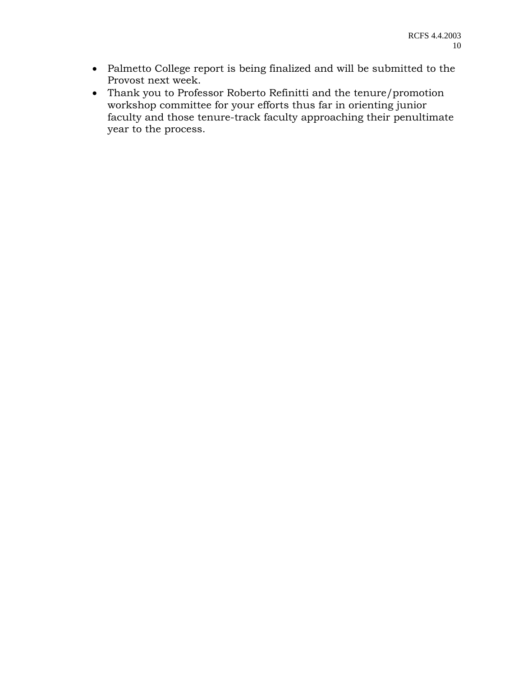- Palmetto College report is being finalized and will be submitted to the Provost next week.
- Thank you to Professor Roberto Refinitti and the tenure/promotion workshop committee for your efforts thus far in orienting junior faculty and those tenure-track faculty approaching their penultimate year to the process.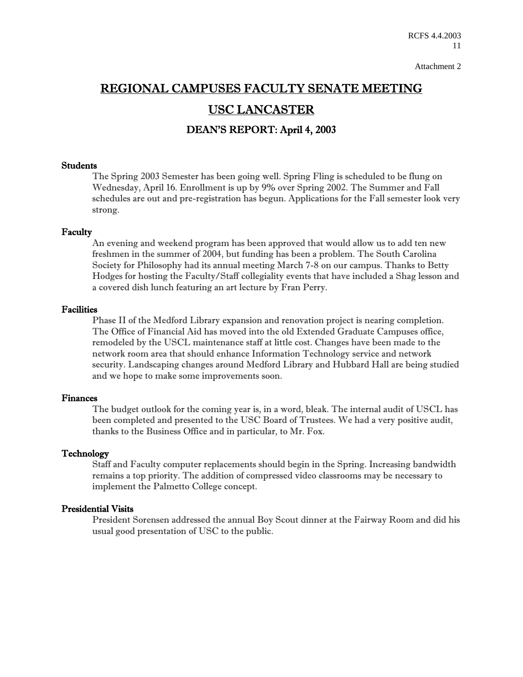# REGIONAL CAMPUSES FACULTY SENATE MEETING USC LANCASTER

DEAN'S REPORT: April 4, 2003

### Students

The Spring 2003 Semester has been going well. Spring Fling is scheduled to be flung on Wednesday, April 16. Enrollment is up by 9% over Spring 2002. The Summer and Fall schedules are out and pre-registration has begun. Applications for the Fall semester look very strong.

### Faculty

An evening and weekend program has been approved that would allow us to add ten new freshmen in the summer of 2004, but funding has been a problem. The South Carolina Society for Philosophy had its annual meeting March 7-8 on our campus. Thanks to Betty Hodges for hosting the Faculty/Staff collegiality events that have included a Shag lesson and a covered dish lunch featuring an art lecture by Fran Perry.

### Facilities

Phase II of the Medford Library expansion and renovation project is nearing completion. The Office of Financial Aid has moved into the old Extended Graduate Campuses office, remodeled by the USCL maintenance staff at little cost. Changes have been made to the network room area that should enhance Information Technology service and network security. Landscaping changes around Medford Library and Hubbard Hall are being studied and we hope to make some improvements soon.

### Finances

The budget outlook for the coming year is, in a word, bleak. The internal audit of USCL has been completed and presented to the USC Board of Trustees. We had a very positive audit, thanks to the Business Office and in particular, to Mr. Fox.

### Technology

Staff and Faculty computer replacements should begin in the Spring. Increasing bandwidth remains a top priority. The addition of compressed video classrooms may be necessary to implement the Palmetto College concept.

### Presidential Visits

President Sorensen addressed the annual Boy Scout dinner at the Fairway Room and did his usual good presentation of USC to the public.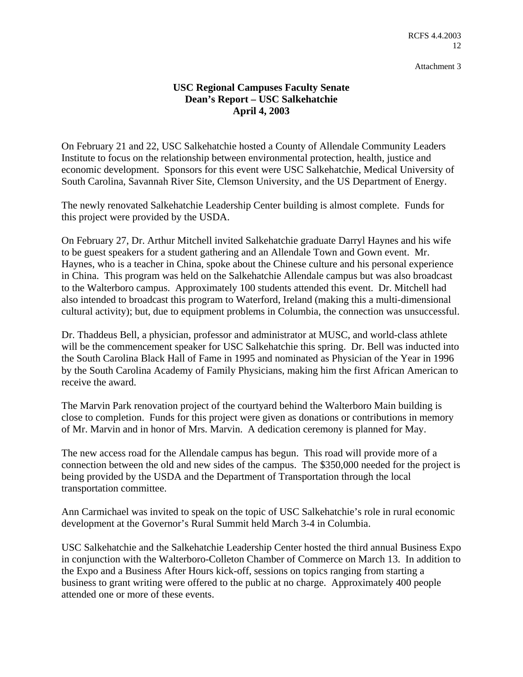# **USC Regional Campuses Faculty Senate Dean's Report – USC Salkehatchie April 4, 2003**

On February 21 and 22, USC Salkehatchie hosted a County of Allendale Community Leaders Institute to focus on the relationship between environmental protection, health, justice and economic development. Sponsors for this event were USC Salkehatchie, Medical University of South Carolina, Savannah River Site, Clemson University, and the US Department of Energy.

The newly renovated Salkehatchie Leadership Center building is almost complete. Funds for this project were provided by the USDA.

On February 27, Dr. Arthur Mitchell invited Salkehatchie graduate Darryl Haynes and his wife to be guest speakers for a student gathering and an Allendale Town and Gown event. Mr. Haynes, who is a teacher in China, spoke about the Chinese culture and his personal experience in China. This program was held on the Salkehatchie Allendale campus but was also broadcast to the Walterboro campus. Approximately 100 students attended this event. Dr. Mitchell had also intended to broadcast this program to Waterford, Ireland (making this a multi-dimensional cultural activity); but, due to equipment problems in Columbia, the connection was unsuccessful.

Dr. Thaddeus Bell, a physician, professor and administrator at MUSC, and world-class athlete will be the commencement speaker for USC Salkehatchie this spring. Dr. Bell was inducted into the South Carolina Black Hall of Fame in 1995 and nominated as Physician of the Year in 1996 by the South Carolina Academy of Family Physicians, making him the first African American to receive the award.

The Marvin Park renovation project of the courtyard behind the Walterboro Main building is close to completion. Funds for this project were given as donations or contributions in memory of Mr. Marvin and in honor of Mrs. Marvin. A dedication ceremony is planned for May.

The new access road for the Allendale campus has begun. This road will provide more of a connection between the old and new sides of the campus. The \$350,000 needed for the project is being provided by the USDA and the Department of Transportation through the local transportation committee.

Ann Carmichael was invited to speak on the topic of USC Salkehatchie's role in rural economic development at the Governor's Rural Summit held March 3-4 in Columbia.

USC Salkehatchie and the Salkehatchie Leadership Center hosted the third annual Business Expo in conjunction with the Walterboro-Colleton Chamber of Commerce on March 13. In addition to the Expo and a Business After Hours kick-off, sessions on topics ranging from starting a business to grant writing were offered to the public at no charge. Approximately 400 people attended one or more of these events.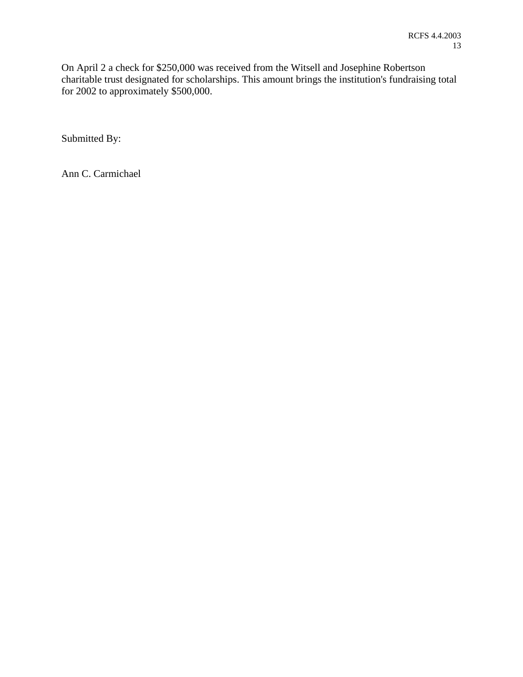On April 2 a check for \$250,000 was received from the Witsell and Josephine Robertson charitable trust designated for scholarships. This amount brings the institution's fundraising total for 2002 to approximately \$500,000.

Submitted By:

Ann C. Carmichael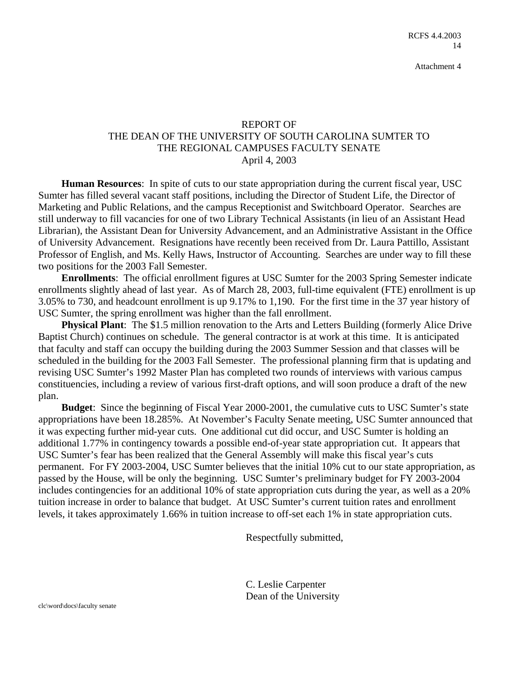# REPORT OF THE DEAN OF THE UNIVERSITY OF SOUTH CAROLINA SUMTER TO THE REGIONAL CAMPUSES FACULTY SENATE April 4, 2003

**Human Resources**: In spite of cuts to our state appropriation during the current fiscal year, USC Sumter has filled several vacant staff positions, including the Director of Student Life, the Director of Marketing and Public Relations, and the campus Receptionist and Switchboard Operator. Searches are still underway to fill vacancies for one of two Library Technical Assistants (in lieu of an Assistant Head Librarian), the Assistant Dean for University Advancement, and an Administrative Assistant in the Office of University Advancement. Resignations have recently been received from Dr. Laura Pattillo, Assistant Professor of English, and Ms. Kelly Haws, Instructor of Accounting. Searches are under way to fill these two positions for the 2003 Fall Semester.

**Enrollments**: The official enrollment figures at USC Sumter for the 2003 Spring Semester indicate enrollments slightly ahead of last year. As of March 28, 2003, full-time equivalent (FTE) enrollment is up 3.05% to 730, and headcount enrollment is up 9.17% to 1,190. For the first time in the 37 year history of USC Sumter, the spring enrollment was higher than the fall enrollment.

**Physical Plant**: The \$1.5 million renovation to the Arts and Letters Building (formerly Alice Drive Baptist Church) continues on schedule. The general contractor is at work at this time. It is anticipated that faculty and staff can occupy the building during the 2003 Summer Session and that classes will be scheduled in the building for the 2003 Fall Semester. The professional planning firm that is updating and revising USC Sumter's 1992 Master Plan has completed two rounds of interviews with various campus constituencies, including a review of various first-draft options, and will soon produce a draft of the new plan.

**Budget**: Since the beginning of Fiscal Year 2000-2001, the cumulative cuts to USC Sumter's state appropriations have been 18.285%. At November's Faculty Senate meeting, USC Sumter announced that it was expecting further mid-year cuts. One additional cut did occur, and USC Sumter is holding an additional 1.77% in contingency towards a possible end-of-year state appropriation cut. It appears that USC Sumter's fear has been realized that the General Assembly will make this fiscal year's cuts permanent. For FY 2003-2004, USC Sumter believes that the initial 10% cut to our state appropriation, as passed by the House, will be only the beginning. USC Sumter's preliminary budget for FY 2003-2004 includes contingencies for an additional 10% of state appropriation cuts during the year, as well as a 20% tuition increase in order to balance that budget. At USC Sumter's current tuition rates and enrollment levels, it takes approximately 1.66% in tuition increase to off-set each 1% in state appropriation cuts.

Respectfully submitted,

C. Leslie Carpenter Dean of the University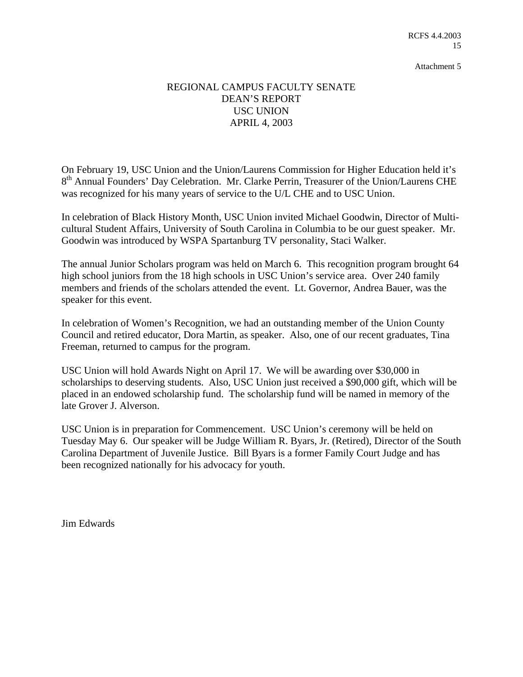# REGIONAL CAMPUS FACULTY SENATE DEAN'S REPORT USC UNION APRIL 4, 2003

On February 19, USC Union and the Union/Laurens Commission for Higher Education held it's 8<sup>th</sup> Annual Founders' Day Celebration. Mr. Clarke Perrin, Treasurer of the Union/Laurens CHE was recognized for his many years of service to the U/L CHE and to USC Union.

In celebration of Black History Month, USC Union invited Michael Goodwin, Director of Multicultural Student Affairs, University of South Carolina in Columbia to be our guest speaker. Mr. Goodwin was introduced by WSPA Spartanburg TV personality, Staci Walker.

The annual Junior Scholars program was held on March 6. This recognition program brought 64 high school juniors from the 18 high schools in USC Union's service area. Over 240 family members and friends of the scholars attended the event. Lt. Governor, Andrea Bauer, was the speaker for this event.

In celebration of Women's Recognition, we had an outstanding member of the Union County Council and retired educator, Dora Martin, as speaker. Also, one of our recent graduates, Tina Freeman, returned to campus for the program.

USC Union will hold Awards Night on April 17. We will be awarding over \$30,000 in scholarships to deserving students. Also, USC Union just received a \$90,000 gift, which will be placed in an endowed scholarship fund. The scholarship fund will be named in memory of the late Grover J. Alverson.

USC Union is in preparation for Commencement. USC Union's ceremony will be held on Tuesday May 6. Our speaker will be Judge William R. Byars, Jr. (Retired), Director of the South Carolina Department of Juvenile Justice. Bill Byars is a former Family Court Judge and has been recognized nationally for his advocacy for youth.

Jim Edwards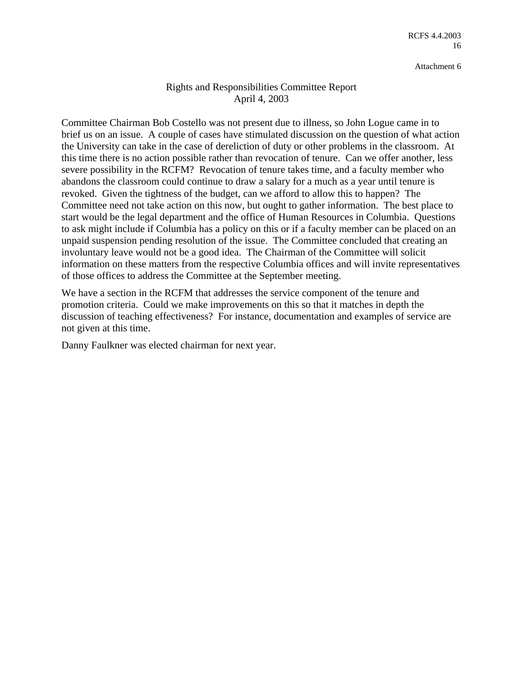# Rights and Responsibilities Committee Report April 4, 2003

Committee Chairman Bob Costello was not present due to illness, so John Logue came in to brief us on an issue. A couple of cases have stimulated discussion on the question of what action the University can take in the case of dereliction of duty or other problems in the classroom. At this time there is no action possible rather than revocation of tenure. Can we offer another, less severe possibility in the RCFM? Revocation of tenure takes time, and a faculty member who abandons the classroom could continue to draw a salary for a much as a year until tenure is revoked. Given the tightness of the budget, can we afford to allow this to happen? The Committee need not take action on this now, but ought to gather information. The best place to start would be the legal department and the office of Human Resources in Columbia. Questions to ask might include if Columbia has a policy on this or if a faculty member can be placed on an unpaid suspension pending resolution of the issue. The Committee concluded that creating an involuntary leave would not be a good idea. The Chairman of the Committee will solicit information on these matters from the respective Columbia offices and will invite representatives of those offices to address the Committee at the September meeting.

We have a section in the RCFM that addresses the service component of the tenure and promotion criteria. Could we make improvements on this so that it matches in depth the discussion of teaching effectiveness? For instance, documentation and examples of service are not given at this time.

Danny Faulkner was elected chairman for next year.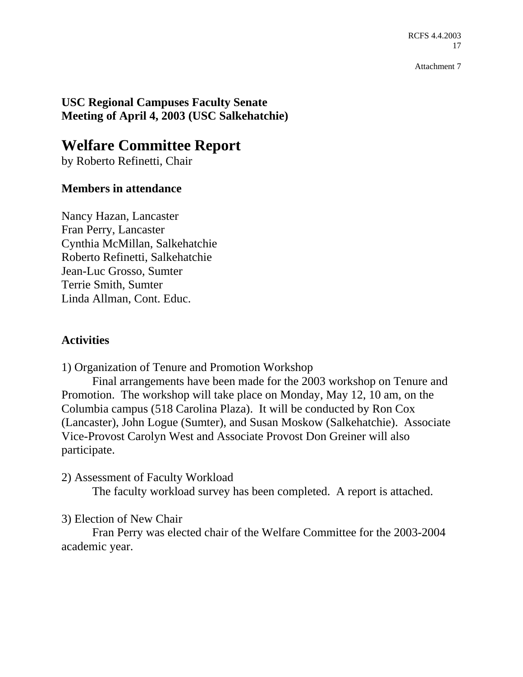RCFS 4.4.2003 17

Attachment 7

**USC Regional Campuses Faculty Senate Meeting of April 4, 2003 (USC Salkehatchie)** 

# **Welfare Committee Report**

by Roberto Refinetti, Chair

# **Members in attendance**

Nancy Hazan, Lancaster Fran Perry, Lancaster Cynthia McMillan, Salkehatchie Roberto Refinetti, Salkehatchie Jean-Luc Grosso, Sumter Terrie Smith, Sumter Linda Allman, Cont. Educ.

# **Activities**

1) Organization of Tenure and Promotion Workshop

 Final arrangements have been made for the 2003 workshop on Tenure and Promotion. The workshop will take place on Monday, May 12, 10 am, on the Columbia campus (518 Carolina Plaza). It will be conducted by Ron Cox (Lancaster), John Logue (Sumter), and Susan Moskow (Salkehatchie). Associate Vice-Provost Carolyn West and Associate Provost Don Greiner will also participate.

2) Assessment of Faculty Workload

The faculty workload survey has been completed. A report is attached.

# 3) Election of New Chair

 Fran Perry was elected chair of the Welfare Committee for the 2003-2004 academic year.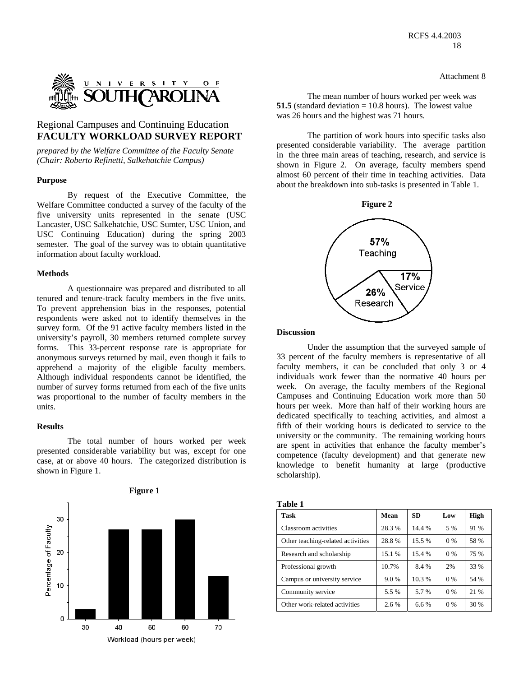

### Regional Campuses and Continuing Education **FACULTY WORKLOAD SURVEY REPORT** The partition of work hours into specific tasks also

*prepared by the Welfare Committee of the Faculty Senate (Chair: Roberto Refinetti, Salkehatchie Campus)* 

#### **Purpose**

 By request of the Executive Committee, the Welfare Committee conducted a survey of the faculty of the five university units represented in the senate (USC Lancaster, USC Salkehatchie, USC Sumter, USC Union, and USC Continuing Education) during the spring 2003 semester. The goal of the survey was to obtain quantitative information about faculty workload.

#### **Methods**

 A questionnaire was prepared and distributed to all tenured and tenure-track faculty members in the five units. To prevent apprehension bias in the responses, potential respondents were asked not to identify themselves in the survey form. Of the 91 active faculty members listed in the university's payroll, 30 members returned complete survey forms. This 33-percent response rate is appropriate for anonymous surveys returned by mail, even though it fails to apprehend a majority of the eligible faculty members. Although individual respondents cannot be identified, the number of survey forms returned from each of the five units was proportional to the number of faculty members in the units.

#### **Results**

 The total number of hours worked per week presented considerable variability but was, except for one case, at or above 40 hours. The categorized distribution is shown in Figure 1.



The mean number of hours worked per week was **51.5** (standard deviation = 10.8 hours). The lowest value was 26 hours and the highest was 71 hours.

presented considerable variability. The average partition in the three main areas of teaching, research, and service is shown in Figure 2. On average, faculty members spend almost 60 percent of their time in teaching activities. Data about the breakdown into sub-tasks is presented in Table 1.



#### **Discussion**

 Under the assumption that the surveyed sample of 33 percent of the faculty members is representative of all faculty members, it can be concluded that only 3 or 4 individuals work fewer than the normative 40 hours per week. On average, the faculty members of the Regional Campuses and Continuing Education work more than 50 hours per week. More than half of their working hours are dedicated specifically to teaching activities, and almost a fifth of their working hours is dedicated to service to the university or the community. The remaining working hours are spent in activities that enhance the faculty member's competence (faculty development) and that generate new knowledge to benefit humanity at large (productive scholarship).

| Table 1                           |        |        |       |             |
|-----------------------------------|--------|--------|-------|-------------|
| <b>Task</b>                       | Mean   | SD     | Low   | <b>High</b> |
| Classroom activities              | 28.3%  | 14.4 % | 5 %   | 91 %        |
| Other teaching-related activities | 28.8%  | 15.5 % | $0\%$ | 58 %        |
| Research and scholarship          | 15.1 % | 15.4 % | $0\%$ | 75 %        |
| Professional growth               | 10.7%  | 8.4 %  | 2%    | 33 %        |
| Campus or university service      | 9.0%   | 10.3%  | $0\%$ | 54 %        |
| Community service                 | 5.5 %  | 5.7%   | $0\%$ | 21 %        |
| Other work-related activities     | 2.6 %  | 6.6%   | 0 %   | 30 %        |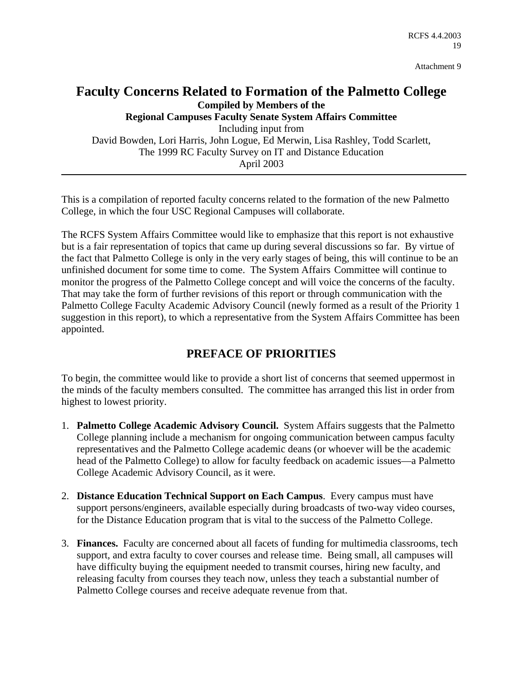# **Faculty Concerns Related to Formation of the Palmetto College Compiled by Members of the Regional Campuses Faculty Senate System Affairs Committee**

Including input from David Bowden, Lori Harris, John Logue, Ed Merwin, Lisa Rashley, Todd Scarlett, The 1999 RC Faculty Survey on IT and Distance Education April 2003

This is a compilation of reported faculty concerns related to the formation of the new Palmetto College, in which the four USC Regional Campuses will collaborate.

The RCFS System Affairs Committee would like to emphasize that this report is not exhaustive but is a fair representation of topics that came up during several discussions so far. By virtue of the fact that Palmetto College is only in the very early stages of being, this will continue to be an unfinished document for some time to come. The System Affairs Committee will continue to monitor the progress of the Palmetto College concept and will voice the concerns of the faculty. That may take the form of further revisions of this report or through communication with the Palmetto College Faculty Academic Advisory Council (newly formed as a result of the Priority 1 suggestion in this report), to which a representative from the System Affairs Committee has been appointed.

# **PREFACE OF PRIORITIES**

To begin, the committee would like to provide a short list of concerns that seemed uppermost in the minds of the faculty members consulted. The committee has arranged this list in order from highest to lowest priority.

- 1. **Palmetto College Academic Advisory Council.** System Affairs suggests that the Palmetto College planning include a mechanism for ongoing communication between campus faculty representatives and the Palmetto College academic deans (or whoever will be the academic head of the Palmetto College) to allow for faculty feedback on academic issues—a Palmetto College Academic Advisory Council, as it were.
- 2. **Distance Education Technical Support on Each Campus**. Every campus must have support persons/engineers, available especially during broadcasts of two-way video courses, for the Distance Education program that is vital to the success of the Palmetto College.
- 3. **Finances.** Faculty are concerned about all facets of funding for multimedia classrooms, tech support, and extra faculty to cover courses and release time. Being small, all campuses will have difficulty buying the equipment needed to transmit courses, hiring new faculty, and releasing faculty from courses they teach now, unless they teach a substantial number of Palmetto College courses and receive adequate revenue from that.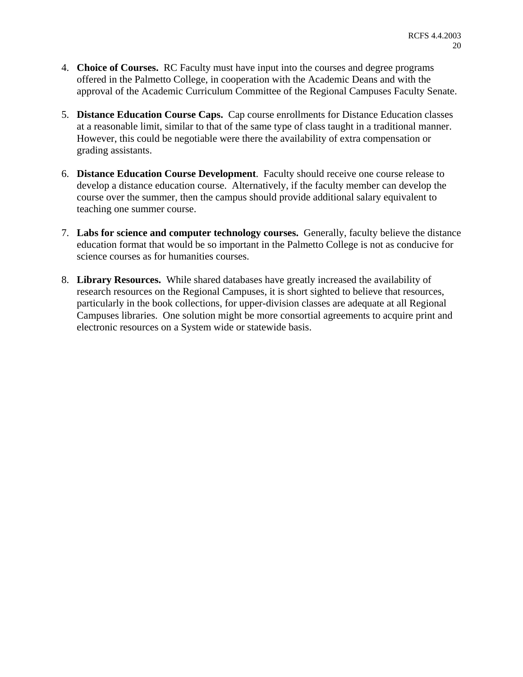- 4. **Choice of Courses.** RC Faculty must have input into the courses and degree programs offered in the Palmetto College, in cooperation with the Academic Deans and with the approval of the Academic Curriculum Committee of the Regional Campuses Faculty Senate.
- 5. **Distance Education Course Caps.** Cap course enrollments for Distance Education classes at a reasonable limit, similar to that of the same type of class taught in a traditional manner. However, this could be negotiable were there the availability of extra compensation or grading assistants.
- 6. **Distance Education Course Development**. Faculty should receive one course release to develop a distance education course. Alternatively, if the faculty member can develop the course over the summer, then the campus should provide additional salary equivalent to teaching one summer course.
- 7. **Labs for science and computer technology courses.** Generally, faculty believe the distance education format that would be so important in the Palmetto College is not as conducive for science courses as for humanities courses.
- 8. **Library Resources.** While shared databases have greatly increased the availability of research resources on the Regional Campuses, it is short sighted to believe that resources, particularly in the book collections, for upper-division classes are adequate at all Regional Campuses libraries. One solution might be more consortial agreements to acquire print and electronic resources on a System wide or statewide basis.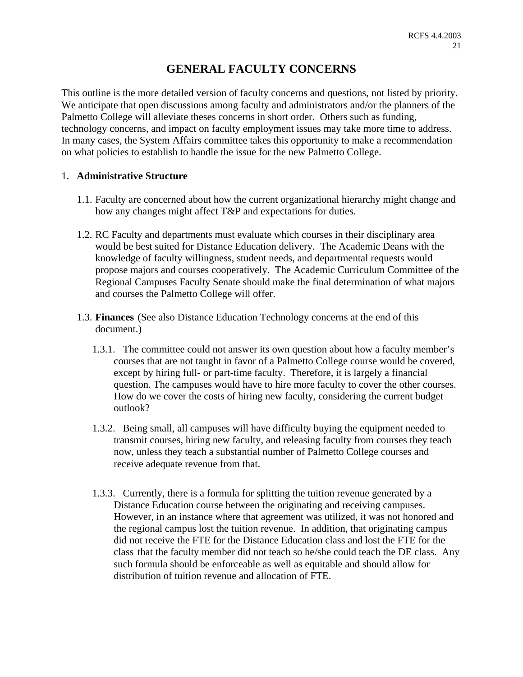# **GENERAL FACULTY CONCERNS**

This outline is the more detailed version of faculty concerns and questions, not listed by priority. We anticipate that open discussions among faculty and administrators and/or the planners of the Palmetto College will alleviate theses concerns in short order. Others such as funding, technology concerns, and impact on faculty employment issues may take more time to address. In many cases, the System Affairs committee takes this opportunity to make a recommendation on what policies to establish to handle the issue for the new Palmetto College.

# 1. **Administrative Structure**

- 1.1. Faculty are concerned about how the current organizational hierarchy might change and how any changes might affect T&P and expectations for duties.
- 1.2. RC Faculty and departments must evaluate which courses in their disciplinary area would be best suited for Distance Education delivery. The Academic Deans with the knowledge of faculty willingness, student needs, and departmental requests would propose majors and courses cooperatively. The Academic Curriculum Committee of the Regional Campuses Faculty Senate should make the final determination of what majors and courses the Palmetto College will offer.
- 1.3. **Finances** (See also Distance Education Technology concerns at the end of this document.)
	- 1.3.1. The committee could not answer its own question about how a faculty member's courses that are not taught in favor of a Palmetto College course would be covered, except by hiring full- or part-time faculty. Therefore, it is largely a financial question. The campuses would have to hire more faculty to cover the other courses. How do we cover the costs of hiring new faculty, considering the current budget outlook?
	- 1.3.2. Being small, all campuses will have difficulty buying the equipment needed to transmit courses, hiring new faculty, and releasing faculty from courses they teach now, unless they teach a substantial number of Palmetto College courses and receive adequate revenue from that.
	- 1.3.3. Currently, there is a formula for splitting the tuition revenue generated by a Distance Education course between the originating and receiving campuses. However, in an instance where that agreement was utilized, it was not honored and the regional campus lost the tuition revenue. In addition, that originating campus did not receive the FTE for the Distance Education class and lost the FTE for the class that the faculty member did not teach so he/she could teach the DE class. Any such formula should be enforceable as well as equitable and should allow for distribution of tuition revenue and allocation of FTE.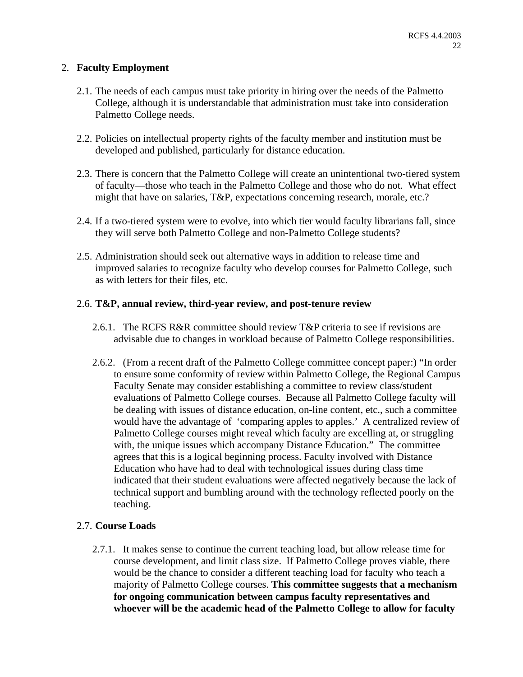# 2. **Faculty Employment**

- 2.1. The needs of each campus must take priority in hiring over the needs of the Palmetto College, although it is understandable that administration must take into consideration Palmetto College needs.
- 2.2. Policies on intellectual property rights of the faculty member and institution must be developed and published, particularly for distance education.
- 2.3. There is concern that the Palmetto College will create an unintentional two-tiered system of faculty—those who teach in the Palmetto College and those who do not. What effect might that have on salaries, T&P, expectations concerning research, morale, etc.?
- 2.4. If a two-tiered system were to evolve, into which tier would faculty librarians fall, since they will serve both Palmetto College and non-Palmetto College students?
- 2.5. Administration should seek out alternative ways in addition to release time and improved salaries to recognize faculty who develop courses for Palmetto College, such as with letters for their files, etc.

# 2.6. **T&P, annual review, third-year review, and post-tenure review**

- 2.6.1. The RCFS R&R committee should review T&P criteria to see if revisions are advisable due to changes in workload because of Palmetto College responsibilities.
- 2.6.2. (From a recent draft of the Palmetto College committee concept paper:) "In order to ensure some conformity of review within Palmetto College, the Regional Campus Faculty Senate may consider establishing a committee to review class/student evaluations of Palmetto College courses. Because all Palmetto College faculty will be dealing with issues of distance education, on-line content, etc., such a committee would have the advantage of 'comparing apples to apples.' A centralized review of Palmetto College courses might reveal which faculty are excelling at, or struggling with, the unique issues which accompany Distance Education." The committee agrees that this is a logical beginning process. Faculty involved with Distance Education who have had to deal with technological issues during class time indicated that their student evaluations were affected negatively because the lack of technical support and bumbling around with the technology reflected poorly on the teaching.

# 2.7. **Course Loads**

2.7.1. It makes sense to continue the current teaching load, but allow release time for course development, and limit class size. If Palmetto College proves viable, there would be the chance to consider a different teaching load for faculty who teach a majority of Palmetto College courses. **This committee suggests that a mechanism for ongoing communication between campus faculty representatives and whoever will be the academic head of the Palmetto College to allow for faculty**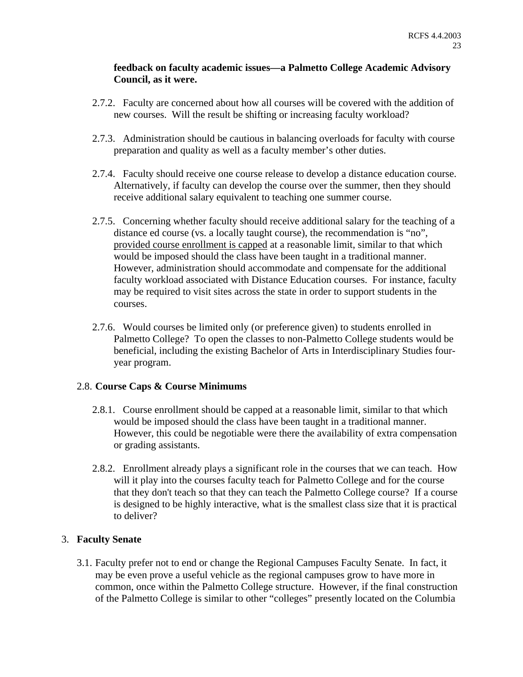# **feedback on faculty academic issues—a Palmetto College Academic Advisory Council, as it were.**

- 2.7.2. Faculty are concerned about how all courses will be covered with the addition of new courses. Will the result be shifting or increasing faculty workload?
- 2.7.3. Administration should be cautious in balancing overloads for faculty with course preparation and quality as well as a faculty member's other duties.
- 2.7.4. Faculty should receive one course release to develop a distance education course. Alternatively, if faculty can develop the course over the summer, then they should receive additional salary equivalent to teaching one summer course.
- 2.7.5. Concerning whether faculty should receive additional salary for the teaching of a distance ed course (vs. a locally taught course), the recommendation is "no", provided course enrollment is capped at a reasonable limit, similar to that which would be imposed should the class have been taught in a traditional manner. However, administration should accommodate and compensate for the additional faculty workload associated with Distance Education courses. For instance, faculty may be required to visit sites across the state in order to support students in the courses.
- 2.7.6. Would courses be limited only (or preference given) to students enrolled in Palmetto College? To open the classes to non-Palmetto College students would be beneficial, including the existing Bachelor of Arts in Interdisciplinary Studies fouryear program.

# 2.8. **Course Caps & Course Minimums**

- 2.8.1. Course enrollment should be capped at a reasonable limit, similar to that which would be imposed should the class have been taught in a traditional manner. However, this could be negotiable were there the availability of extra compensation or grading assistants.
- 2.8.2. Enrollment already plays a significant role in the courses that we can teach. How will it play into the courses faculty teach for Palmetto College and for the course that they don't teach so that they can teach the Palmetto College course? If a course is designed to be highly interactive, what is the smallest class size that it is practical to deliver?

# 3. **Faculty Senate**

3.1. Faculty prefer not to end or change the Regional Campuses Faculty Senate. In fact, it may be even prove a useful vehicle as the regional campuses grow to have more in common, once within the Palmetto College structure. However, if the final construction of the Palmetto College is similar to other "colleges" presently located on the Columbia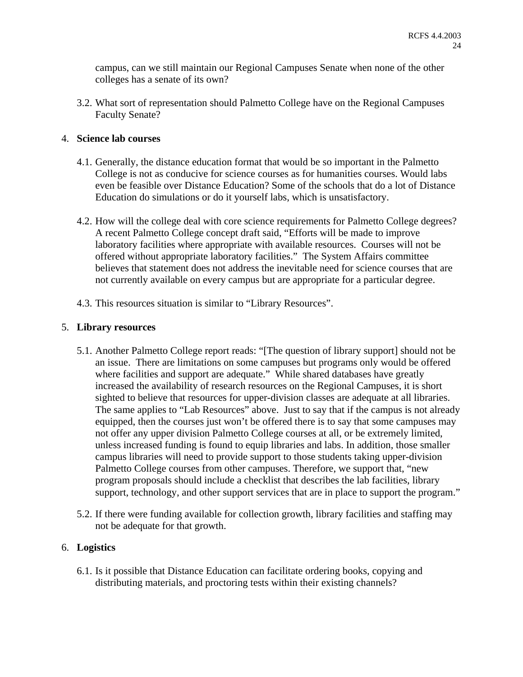campus, can we still maintain our Regional Campuses Senate when none of the other colleges has a senate of its own?

3.2. What sort of representation should Palmetto College have on the Regional Campuses Faculty Senate?

# 4. **Science lab courses**

- 4.1. Generally, the distance education format that would be so important in the Palmetto College is not as conducive for science courses as for humanities courses. Would labs even be feasible over Distance Education? Some of the schools that do a lot of Distance Education do simulations or do it yourself labs, which is unsatisfactory.
- 4.2. How will the college deal with core science requirements for Palmetto College degrees? A recent Palmetto College concept draft said, "Efforts will be made to improve laboratory facilities where appropriate with available resources. Courses will not be offered without appropriate laboratory facilities." The System Affairs committee believes that statement does not address the inevitable need for science courses that are not currently available on every campus but are appropriate for a particular degree.
- 4.3. This resources situation is similar to "Library Resources".

# 5. **Library resources**

- 5.1. Another Palmetto College report reads: "[The question of library support] should not be an issue. There are limitations on some campuses but programs only would be offered where facilities and support are adequate." While shared databases have greatly increased the availability of research resources on the Regional Campuses, it is short sighted to believe that resources for upper-division classes are adequate at all libraries. The same applies to "Lab Resources" above. Just to say that if the campus is not already equipped, then the courses just won't be offered there is to say that some campuses may not offer any upper division Palmetto College courses at all, or be extremely limited, unless increased funding is found to equip libraries and labs. In addition, those smaller campus libraries will need to provide support to those students taking upper-division Palmetto College courses from other campuses. Therefore, we support that, "new program proposals should include a checklist that describes the lab facilities, library support, technology, and other support services that are in place to support the program."
- 5.2. If there were funding available for collection growth, library facilities and staffing may not be adequate for that growth.

# 6. **Logistics**

6.1. Is it possible that Distance Education can facilitate ordering books, copying and distributing materials, and proctoring tests within their existing channels?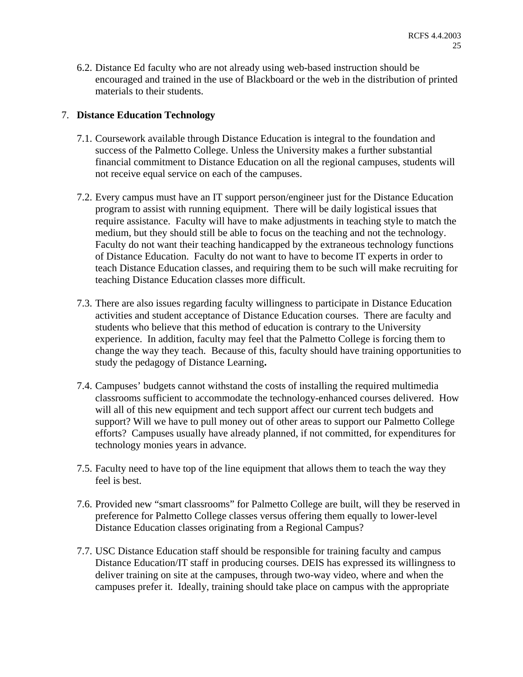6.2. Distance Ed faculty who are not already using web-based instruction should be encouraged and trained in the use of Blackboard or the web in the distribution of printed materials to their students.

# 7. **Distance Education Technology**

- 7.1. Coursework available through Distance Education is integral to the foundation and success of the Palmetto College. Unless the University makes a further substantial financial commitment to Distance Education on all the regional campuses, students will not receive equal service on each of the campuses.
- 7.2. Every campus must have an IT support person/engineer just for the Distance Education program to assist with running equipment. There will be daily logistical issues that require assistance. Faculty will have to make adjustments in teaching style to match the medium, but they should still be able to focus on the teaching and not the technology. Faculty do not want their teaching handicapped by the extraneous technology functions of Distance Education. Faculty do not want to have to become IT experts in order to teach Distance Education classes, and requiring them to be such will make recruiting for teaching Distance Education classes more difficult.
- 7.3. There are also issues regarding faculty willingness to participate in Distance Education activities and student acceptance of Distance Education courses. There are faculty and students who believe that this method of education is contrary to the University experience. In addition, faculty may feel that the Palmetto College is forcing them to change the way they teach. Because of this, faculty should have training opportunities to study the pedagogy of Distance Learning**.**
- 7.4. Campuses' budgets cannot withstand the costs of installing the required multimedia classrooms sufficient to accommodate the technology-enhanced courses delivered. How will all of this new equipment and tech support affect our current tech budgets and support? Will we have to pull money out of other areas to support our Palmetto College efforts? Campuses usually have already planned, if not committed, for expenditures for technology monies years in advance.
- 7.5. Faculty need to have top of the line equipment that allows them to teach the way they feel is best.
- 7.6. Provided new "smart classrooms" for Palmetto College are built, will they be reserved in preference for Palmetto College classes versus offering them equally to lower-level Distance Education classes originating from a Regional Campus?
- 7.7. USC Distance Education staff should be responsible for training faculty and campus Distance Education/IT staff in producing courses. DEIS has expressed its willingness to deliver training on site at the campuses, through two-way video, where and when the campuses prefer it. Ideally, training should take place on campus with the appropriate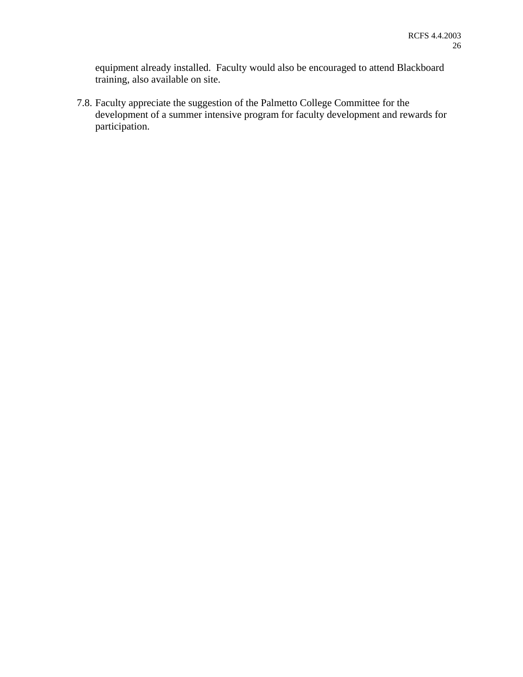equipment already installed. Faculty would also be encouraged to attend Blackboard training, also available on site.

7.8. Faculty appreciate the suggestion of the Palmetto College Committee for the development of a summer intensive program for faculty development and rewards for participation.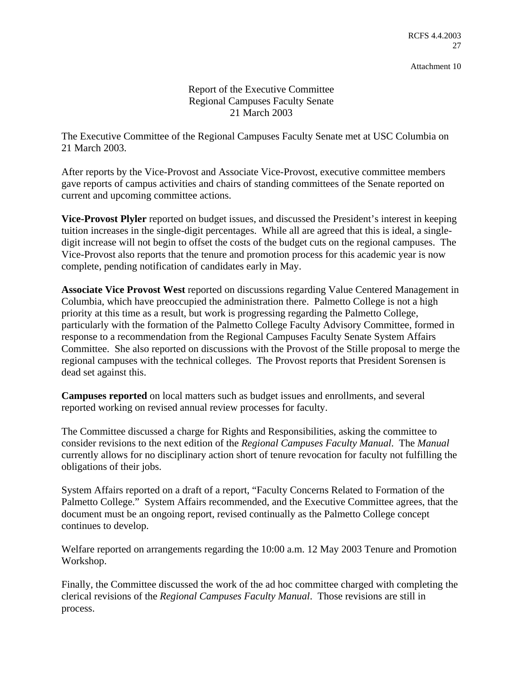Report of the Executive Committee Regional Campuses Faculty Senate 21 March 2003

The Executive Committee of the Regional Campuses Faculty Senate met at USC Columbia on 21 March 2003.

After reports by the Vice-Provost and Associate Vice-Provost, executive committee members gave reports of campus activities and chairs of standing committees of the Senate reported on current and upcoming committee actions.

**Vice-Provost Plyler** reported on budget issues, and discussed the President's interest in keeping tuition increases in the single-digit percentages. While all are agreed that this is ideal, a singledigit increase will not begin to offset the costs of the budget cuts on the regional campuses. The Vice-Provost also reports that the tenure and promotion process for this academic year is now complete, pending notification of candidates early in May.

**Associate Vice Provost West** reported on discussions regarding Value Centered Management in Columbia, which have preoccupied the administration there. Palmetto College is not a high priority at this time as a result, but work is progressing regarding the Palmetto College, particularly with the formation of the Palmetto College Faculty Advisory Committee, formed in response to a recommendation from the Regional Campuses Faculty Senate System Affairs Committee. She also reported on discussions with the Provost of the Stille proposal to merge the regional campuses with the technical colleges. The Provost reports that President Sorensen is dead set against this.

**Campuses reported** on local matters such as budget issues and enrollments, and several reported working on revised annual review processes for faculty.

The Committee discussed a charge for Rights and Responsibilities, asking the committee to consider revisions to the next edition of the *Regional Campuses Faculty Manual*. The *Manual* currently allows for no disciplinary action short of tenure revocation for faculty not fulfilling the obligations of their jobs.

System Affairs reported on a draft of a report, "Faculty Concerns Related to Formation of the Palmetto College." System Affairs recommended, and the Executive Committee agrees, that the document must be an ongoing report, revised continually as the Palmetto College concept continues to develop.

Welfare reported on arrangements regarding the 10:00 a.m. 12 May 2003 Tenure and Promotion Workshop.

Finally, the Committee discussed the work of the ad hoc committee charged with completing the clerical revisions of the *Regional Campuses Faculty Manual*. Those revisions are still in process.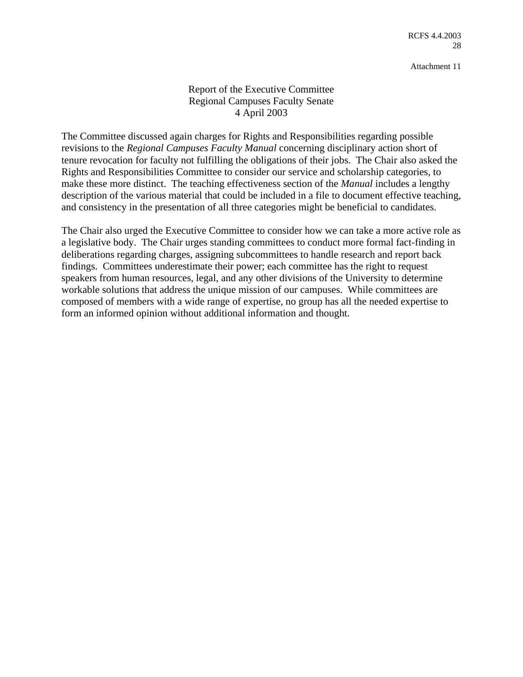# Report of the Executive Committee Regional Campuses Faculty Senate 4 April 2003

The Committee discussed again charges for Rights and Responsibilities regarding possible revisions to the *Regional Campuses Faculty Manual* concerning disciplinary action short of tenure revocation for faculty not fulfilling the obligations of their jobs. The Chair also asked the Rights and Responsibilities Committee to consider our service and scholarship categories, to make these more distinct. The teaching effectiveness section of the *Manual* includes a lengthy description of the various material that could be included in a file to document effective teaching, and consistency in the presentation of all three categories might be beneficial to candidates.

The Chair also urged the Executive Committee to consider how we can take a more active role as a legislative body. The Chair urges standing committees to conduct more formal fact-finding in deliberations regarding charges, assigning subcommittees to handle research and report back findings. Committees underestimate their power; each committee has the right to request speakers from human resources, legal, and any other divisions of the University to determine workable solutions that address the unique mission of our campuses. While committees are composed of members with a wide range of expertise, no group has all the needed expertise to form an informed opinion without additional information and thought.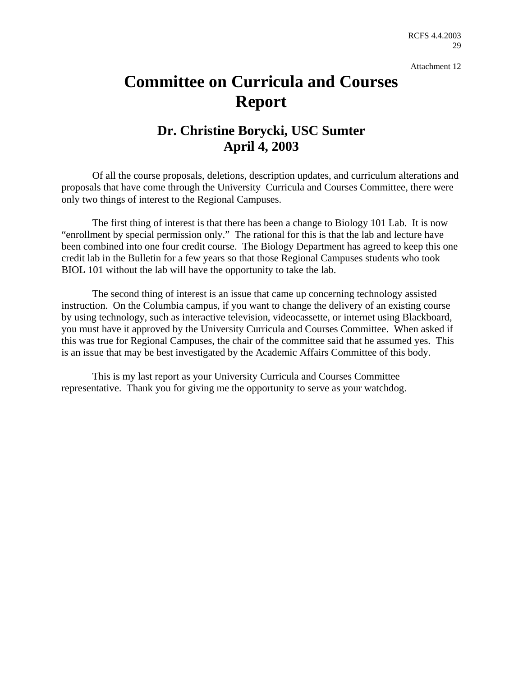# **Committee on Curricula and Courses Report**

# **Dr. Christine Borycki, USC Sumter April 4, 2003**

Of all the course proposals, deletions, description updates, and curriculum alterations and proposals that have come through the University Curricula and Courses Committee, there were only two things of interest to the Regional Campuses.

The first thing of interest is that there has been a change to Biology 101 Lab. It is now "enrollment by special permission only." The rational for this is that the lab and lecture have been combined into one four credit course. The Biology Department has agreed to keep this one credit lab in the Bulletin for a few years so that those Regional Campuses students who took BIOL 101 without the lab will have the opportunity to take the lab.

The second thing of interest is an issue that came up concerning technology assisted instruction. On the Columbia campus, if you want to change the delivery of an existing course by using technology, such as interactive television, videocassette, or internet using Blackboard, you must have it approved by the University Curricula and Courses Committee. When asked if this was true for Regional Campuses, the chair of the committee said that he assumed yes. This is an issue that may be best investigated by the Academic Affairs Committee of this body.

This is my last report as your University Curricula and Courses Committee representative. Thank you for giving me the opportunity to serve as your watchdog.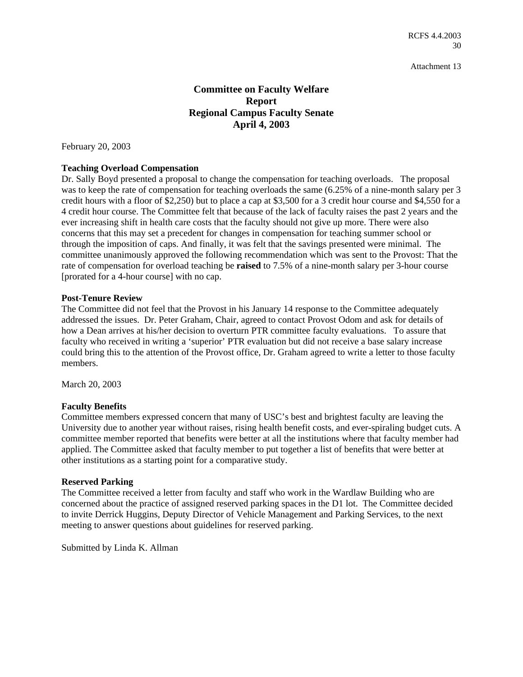# **Committee on Faculty Welfare Report Regional Campus Faculty Senate April 4, 2003**

February 20, 2003

### **Teaching Overload Compensation**

Dr. Sally Boyd presented a proposal to change the compensation for teaching overloads. The proposal was to keep the rate of compensation for teaching overloads the same  $(6.25\%$  of a nine-month salary per 3 credit hours with a floor of \$2,250) but to place a cap at \$3,500 for a 3 credit hour course and \$4,550 for a 4 credit hour course. The Committee felt that because of the lack of faculty raises the past 2 years and the ever increasing shift in health care costs that the faculty should not give up more. There were also concerns that this may set a precedent for changes in compensation for teaching summer school or through the imposition of caps. And finally, it was felt that the savings presented were minimal. The committee unanimously approved the following recommendation which was sent to the Provost: That the rate of compensation for overload teaching be **raised** to 7.5% of a nine-month salary per 3-hour course [prorated for a 4-hour course] with no cap.

### **Post-Tenure Review**

The Committee did not feel that the Provost in his January 14 response to the Committee adequately addressed the issues. Dr. Peter Graham, Chair, agreed to contact Provost Odom and ask for details of how a Dean arrives at his/her decision to overturn PTR committee faculty evaluations. To assure that faculty who received in writing a 'superior' PTR evaluation but did not receive a base salary increase could bring this to the attention of the Provost office, Dr. Graham agreed to write a letter to those faculty members.

March 20, 2003

### **Faculty Benefits**

Committee members expressed concern that many of USC's best and brightest faculty are leaving the University due to another year without raises, rising health benefit costs, and ever-spiraling budget cuts. A committee member reported that benefits were better at all the institutions where that faculty member had applied. The Committee asked that faculty member to put together a list of benefits that were better at other institutions as a starting point for a comparative study.

#### **Reserved Parking**

The Committee received a letter from faculty and staff who work in the Wardlaw Building who are concerned about the practice of assigned reserved parking spaces in the D1 lot. The Committee decided to invite Derrick Huggins, Deputy Director of Vehicle Management and Parking Services, to the next meeting to answer questions about guidelines for reserved parking.

Submitted by Linda K. Allman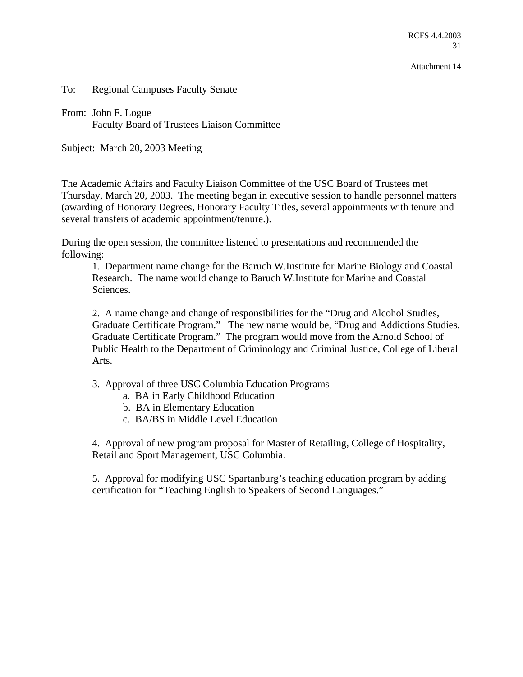RCFS 4.4.2003 31

Attachment 14

To: Regional Campuses Faculty Senate

From: John F. Logue Faculty Board of Trustees Liaison Committee

Subject: March 20, 2003 Meeting

The Academic Affairs and Faculty Liaison Committee of the USC Board of Trustees met Thursday, March 20, 2003. The meeting began in executive session to handle personnel matters (awarding of Honorary Degrees, Honorary Faculty Titles, several appointments with tenure and several transfers of academic appointment/tenure.).

During the open session, the committee listened to presentations and recommended the following:

1. Department name change for the Baruch W.Institute for Marine Biology and Coastal Research. The name would change to Baruch W.Institute for Marine and Coastal Sciences.

2. A name change and change of responsibilities for the "Drug and Alcohol Studies, Graduate Certificate Program." The new name would be, "Drug and Addictions Studies, Graduate Certificate Program." The program would move from the Arnold School of Public Health to the Department of Criminology and Criminal Justice, College of Liberal Arts.

- 3. Approval of three USC Columbia Education Programs
	- a. BA in Early Childhood Education
	- b. BA in Elementary Education
	- c. BA/BS in Middle Level Education

4. Approval of new program proposal for Master of Retailing, College of Hospitality, Retail and Sport Management, USC Columbia.

5. Approval for modifying USC Spartanburg's teaching education program by adding certification for "Teaching English to Speakers of Second Languages."